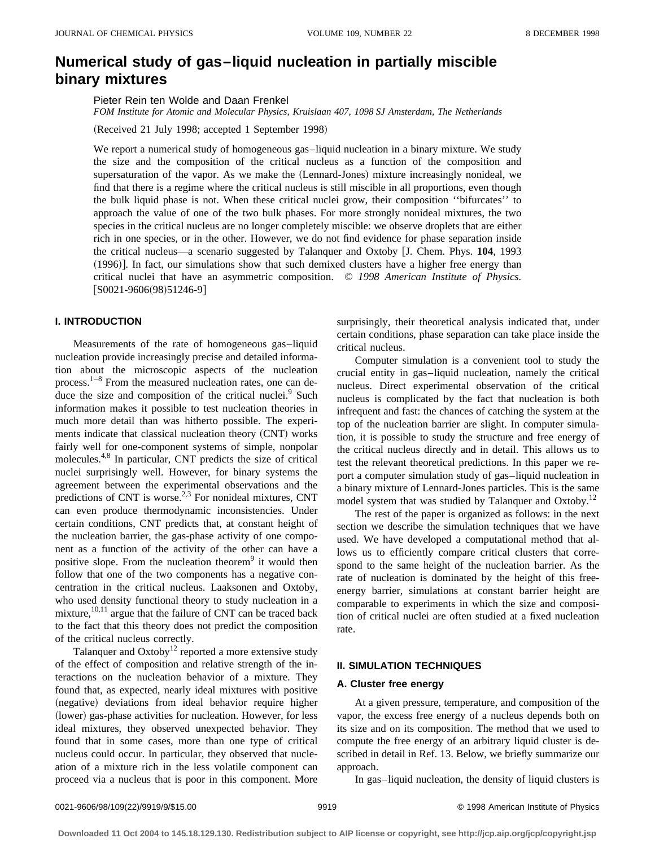# **Numerical study of gas–liquid nucleation in partially miscible binary mixtures**

Pieter Rein ten Wolde and Daan Frenkel

*FOM Institute for Atomic and Molecular Physics, Kruislaan 407, 1098 SJ Amsterdam, The Netherlands*

(Received 21 July 1998; accepted 1 September 1998)

We report a numerical study of homogeneous gas-liquid nucleation in a binary mixture. We study the size and the composition of the critical nucleus as a function of the composition and supersaturation of the vapor. As we make the (Lennard-Jones) mixture increasingly nonideal, we find that there is a regime where the critical nucleus is still miscible in all proportions, even though the bulk liquid phase is not. When these critical nuclei grow, their composition ''bifurcates'' to approach the value of one of the two bulk phases. For more strongly nonideal mixtures, the two species in the critical nucleus are no longer completely miscible: we observe droplets that are either rich in one species, or in the other. However, we do not find evidence for phase separation inside the critical nucleus—a scenario suggested by Talanquer and Oxtoby [J. Chem. Phys. 104, 1993  $(1996)$ . In fact, our simulations show that such demixed clusters have a higher free energy than critical nuclei that have an asymmetric composition. © *1998 American Institute of Physics.*  $|SO021-9606(98)51246-9|$ 

# **I. INTRODUCTION**

Measurements of the rate of homogeneous gas–liquid nucleation provide increasingly precise and detailed information about the microscopic aspects of the nucleation process. $1-8$  From the measured nucleation rates, one can deduce the size and composition of the critical nuclei. $9$  Such information makes it possible to test nucleation theories in much more detail than was hitherto possible. The experiments indicate that classical nucleation theory (CNT) works fairly well for one-component systems of simple, nonpolar molecules.4,8 In particular, CNT predicts the size of critical nuclei surprisingly well. However, for binary systems the agreement between the experimental observations and the predictions of CNT is worse.<sup>2,3</sup> For nonideal mixtures, CNT can even produce thermodynamic inconsistencies. Under certain conditions, CNT predicts that, at constant height of the nucleation barrier, the gas-phase activity of one component as a function of the activity of the other can have a positive slope. From the nucleation theorem<sup>9</sup> it would then follow that one of the two components has a negative concentration in the critical nucleus. Laaksonen and Oxtoby, who used density functional theory to study nucleation in a mixture, $^{10,11}$  argue that the failure of CNT can be traced back to the fact that this theory does not predict the composition of the critical nucleus correctly.

Talanquer and  $Ox \times 12$  reported a more extensive study of the effect of composition and relative strength of the interactions on the nucleation behavior of a mixture. They found that, as expected, nearly ideal mixtures with positive (negative) deviations from ideal behavior require higher (lower) gas-phase activities for nucleation. However, for less ideal mixtures, they observed unexpected behavior. They found that in some cases, more than one type of critical nucleus could occur. In particular, they observed that nucleation of a mixture rich in the less volatile component can proceed via a nucleus that is poor in this component. More surprisingly, their theoretical analysis indicated that, under certain conditions, phase separation can take place inside the critical nucleus.

Computer simulation is a convenient tool to study the crucial entity in gas–liquid nucleation, namely the critical nucleus. Direct experimental observation of the critical nucleus is complicated by the fact that nucleation is both infrequent and fast: the chances of catching the system at the top of the nucleation barrier are slight. In computer simulation, it is possible to study the structure and free energy of the critical nucleus directly and in detail. This allows us to test the relevant theoretical predictions. In this paper we report a computer simulation study of gas–liquid nucleation in a binary mixture of Lennard-Jones particles. This is the same model system that was studied by Talanguer and Oxtoby.<sup>12</sup>

The rest of the paper is organized as follows: in the next section we describe the simulation techniques that we have used. We have developed a computational method that allows us to efficiently compare critical clusters that correspond to the same height of the nucleation barrier. As the rate of nucleation is dominated by the height of this freeenergy barrier, simulations at constant barrier height are comparable to experiments in which the size and composition of critical nuclei are often studied at a fixed nucleation rate.

#### **II. SIMULATION TECHNIQUES**

#### **A. Cluster free energy**

At a given pressure, temperature, and composition of the vapor, the excess free energy of a nucleus depends both on its size and on its composition. The method that we used to compute the free energy of an arbitrary liquid cluster is described in detail in Ref. 13. Below, we briefly summarize our approach.

In gas–liquid nucleation, the density of liquid clusters is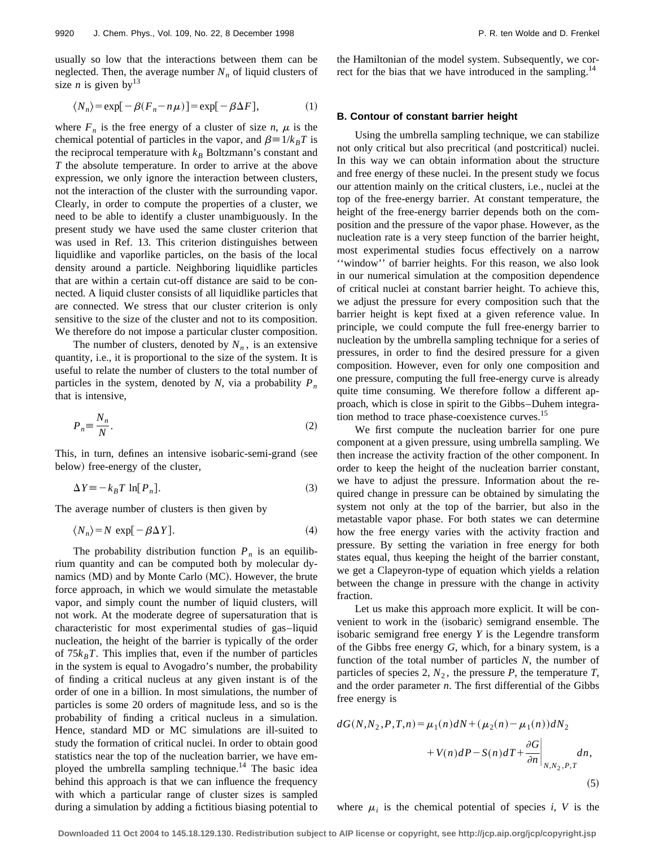usually so low that the interactions between them can be neglected. Then, the average number  $N_n$  of liquid clusters of size *n* is given by  $13$ 

$$
\langle N_n \rangle = \exp[-\beta (F_n - n\mu)] = \exp[-\beta \Delta F], \tag{1}
$$

where  $F_n$  is the free energy of a cluster of size *n*,  $\mu$  is the chemical potential of particles in the vapor, and  $\beta = 1/k_B T$  is the reciprocal temperature with  $k_B$  Boltzmann's constant and *T* the absolute temperature. In order to arrive at the above expression, we only ignore the interaction between clusters, not the interaction of the cluster with the surrounding vapor. Clearly, in order to compute the properties of a cluster, we need to be able to identify a cluster unambiguously. In the present study we have used the same cluster criterion that was used in Ref. 13. This criterion distinguishes between liquidlike and vaporlike particles, on the basis of the local density around a particle. Neighboring liquidlike particles that are within a certain cut-off distance are said to be connected. A liquid cluster consists of all liquidlike particles that are connected. We stress that our cluster criterion is only sensitive to the size of the cluster and not to its composition. We therefore do not impose a particular cluster composition.

The number of clusters, denoted by  $N_n$ , is an extensive quantity, i.e., it is proportional to the size of the system. It is useful to relate the number of clusters to the total number of particles in the system, denoted by *N*, via a probability  $P_n$ that is intensive,

$$
P_n \equiv \frac{N_n}{N}.\tag{2}
$$

This, in turn, defines an intensive isobaric-semi-grand (see below) free-energy of the cluster,

$$
\Delta Y \equiv -k_B T \ln[P_n]. \tag{3}
$$

The average number of clusters is then given by

$$
\langle N_n \rangle = N \exp[-\beta \Delta Y]. \tag{4}
$$

The probability distribution function  $P_n$  is an equilibrium quantity and can be computed both by molecular dynamics (MD) and by Monte Carlo (MC). However, the brute force approach, in which we would simulate the metastable vapor, and simply count the number of liquid clusters, will not work. At the moderate degree of supersaturation that is characteristic for most experimental studies of gas–liquid nucleation, the height of the barrier is typically of the order of  $75k_BT$ . This implies that, even if the number of particles in the system is equal to Avogadro's number, the probability of finding a critical nucleus at any given instant is of the order of one in a billion. In most simulations, the number of particles is some 20 orders of magnitude less, and so is the probability of finding a critical nucleus in a simulation. Hence, standard MD or MC simulations are ill-suited to study the formation of critical nuclei. In order to obtain good statistics near the top of the nucleation barrier, we have employed the umbrella sampling technique.<sup>14</sup> The basic idea behind this approach is that we can influence the frequency with which a particular range of cluster sizes is sampled during a simulation by adding a fictitious biasing potential to the Hamiltonian of the model system. Subsequently, we correct for the bias that we have introduced in the sampling.<sup>14</sup>

#### **B. Contour of constant barrier height**

Using the umbrella sampling technique, we can stabilize not only critical but also precritical (and postcritical) nuclei. In this way we can obtain information about the structure and free energy of these nuclei. In the present study we focus our attention mainly on the critical clusters, i.e., nuclei at the top of the free-energy barrier. At constant temperature, the height of the free-energy barrier depends both on the composition and the pressure of the vapor phase. However, as the nucleation rate is a very steep function of the barrier height, most experimental studies focus effectively on a narrow ''window'' of barrier heights. For this reason, we also look in our numerical simulation at the composition dependence of critical nuclei at constant barrier height. To achieve this, we adjust the pressure for every composition such that the barrier height is kept fixed at a given reference value. In principle, we could compute the full free-energy barrier to nucleation by the umbrella sampling technique for a series of pressures, in order to find the desired pressure for a given composition. However, even for only one composition and one pressure, computing the full free-energy curve is already quite time consuming. We therefore follow a different approach, which is close in spirit to the Gibbs–Duhem integration method to trace phase-coexistence curves.<sup>15</sup>

We first compute the nucleation barrier for one pure component at a given pressure, using umbrella sampling. We then increase the activity fraction of the other component. In order to keep the height of the nucleation barrier constant, we have to adjust the pressure. Information about the required change in pressure can be obtained by simulating the system not only at the top of the barrier, but also in the metastable vapor phase. For both states we can determine how the free energy varies with the activity fraction and pressure. By setting the variation in free energy for both states equal, thus keeping the height of the barrier constant, we get a Clapeyron-type of equation which yields a relation between the change in pressure with the change in activity fraction.

Let us make this approach more explicit. It will be convenient to work in the (isobaric) semigrand ensemble. The isobaric semigrand free energy *Y* is the Legendre transform of the Gibbs free energy *G*, which, for a binary system, is a function of the total number of particles *N*, the number of particles of species 2,  $N_2$ , the pressure  $P$ , the temperature  $T$ , and the order parameter *n*. The first differential of the Gibbs free energy is

$$
dG(N, N_2, P, T, n) = \mu_1(n)dN + (\mu_2(n) - \mu_1(n))dN_2 + V(n)dP - S(n)dT + \frac{\partial G}{\partial n}\Big|_{N, N_2, P, T} dn,
$$
\n(5)

where  $\mu_i$  is the chemical potential of species *i*, *V* is the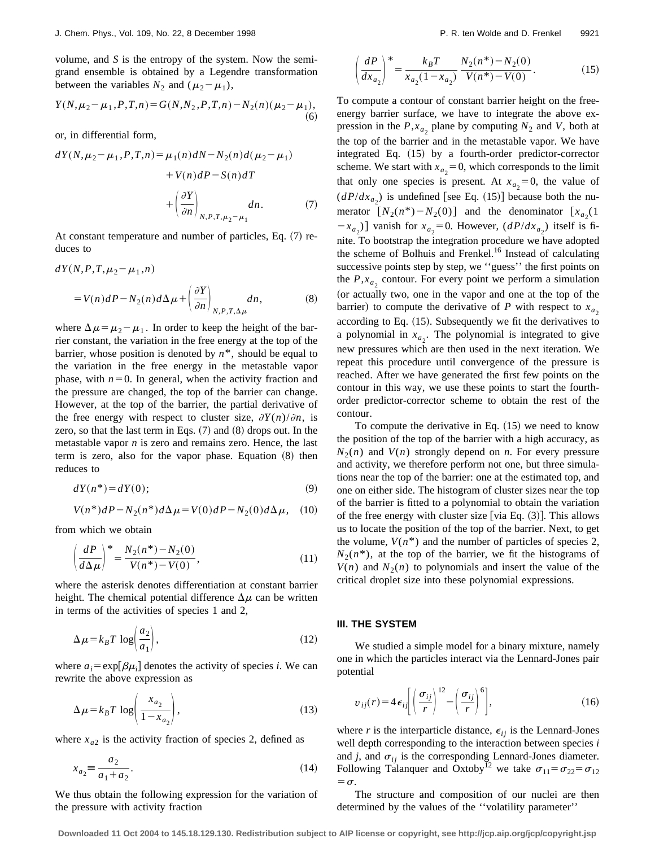volume, and *S* is the entropy of the system. Now the semigrand ensemble is obtained by a Legendre transformation between the variables  $N_2$  and  $(\mu_2 - \mu_1)$ ,

$$
Y(N, \mu_2 - \mu_1, P, T, n) = G(N, N_2, P, T, n) - N_2(n) (\mu_2 - \mu_1),
$$
\n(6)

or, in differential form,

$$
dY(N, \mu_2 - \mu_1, P, T, n) = \mu_1(n)dN - N_2(n)d(\mu_2 - \mu_1)
$$
  
+  $V(n)dP - S(n)dT$   
+  $\left(\frac{\partial Y}{\partial n}\right)_{N, P, T, \mu_2 - \mu_1} dn.$  (7)

At constant temperature and number of particles, Eq.  $(7)$  reduces to

$$
dY(N, P, T, \mu_2 - \mu_1, n)
$$
  
=  $V(n)dP - N_2(n)d\Delta \mu + \left(\frac{\partial Y}{\partial n}\right)_{N, P, T, \Delta \mu} dn,$  (8)

where  $\Delta \mu = \mu_2 - \mu_1$ . In order to keep the height of the barrier constant, the variation in the free energy at the top of the barrier, whose position is denoted by  $n^*$ , should be equal to the variation in the free energy in the metastable vapor phase, with  $n=0$ . In general, when the activity fraction and the pressure are changed, the top of the barrier can change. However, at the top of the barrier, the partial derivative of the free energy with respect to cluster size,  $\partial Y(n)/\partial n$ , is zero, so that the last term in Eqs.  $(7)$  and  $(8)$  drops out. In the metastable vapor *n* is zero and remains zero. Hence, the last term is zero, also for the vapor phase. Equation  $(8)$  then reduces to

$$
dY(n^*) = dY(0); \tag{9}
$$

$$
V(n^*)dP - N_2(n^*)d\Delta \mu = V(0)dP - N_2(0)d\Delta \mu, \quad (10)
$$

from which we obtain

$$
\left(\frac{dP}{d\Delta\mu}\right)^* = \frac{N_2(n^*) - N_2(0)}{V(n^*) - V(0)},\tag{11}
$$

where the asterisk denotes differentiation at constant barrier height. The chemical potential difference  $\Delta \mu$  can be written in terms of the activities of species 1 and 2,

$$
\Delta \mu = k_B T \log \left( \frac{a_2}{a_1} \right),\tag{12}
$$

where  $a_i = \exp[\beta \mu_i]$  denotes the activity of species *i*. We can rewrite the above expression as

$$
\Delta \mu = k_B T \log \left( \frac{x_{a_2}}{1 - x_{a_2}} \right),\tag{13}
$$

where  $x_{a2}$  is the activity fraction of species 2, defined as

$$
x_{a_2} \equiv \frac{a_2}{a_1 + a_2}.\tag{14}
$$

We thus obtain the following expression for the variation of the pressure with activity fraction

$$
\left(\frac{dP}{dx_{a_2}}\right)^* = \frac{k_B T}{x_{a_2} (1 - x_{a_2})} \frac{N_2(n^*) - N_2(0)}{V(n^*) - V(0)}.
$$
\n(15)

To compute a contour of constant barrier height on the freeenergy barrier surface, we have to integrate the above expression in the  $P$ , $x_a$ , plane by computing  $N_2$  and  $V$ , both at the top of the barrier and in the metastable vapor. We have integrated Eq.  $(15)$  by a fourth-order predictor-corrector scheme. We start with  $x_{a_2} = 0$ , which corresponds to the limit that only one species is present. At  $x_{a_2} = 0$ , the value of  $(dP/dx_{a_2})$  is undefined [see Eq. (15)] because both the numerator  $[N_2(n^*) - N_2(0)]$  and the denominator  $[x_{a_2}(1)]$  $-x_{a_2}$ ) vanish for  $x_{a_2} = 0$ . However,  $(dP/dx_{a_2})$  itself is finite. To bootstrap the integration procedure we have adopted the scheme of Bolhuis and Frenkel.<sup>16</sup> Instead of calculating successive points step by step, we ''guess'' the first points on the  $P, x_a$  contour. For every point we perform a simulation (or actually two, one in the vapor and one at the top of the barrier) to compute the derivative of *P* with respect to  $x_{a_2}$ according to Eq.  $(15)$ . Subsequently we fit the derivatives to a polynomial in  $x_{a_2}$ . The polynomial is integrated to give new pressures which are then used in the next iteration. We repeat this procedure until convergence of the pressure is reached. After we have generated the first few points on the contour in this way, we use these points to start the fourthorder predictor-corrector scheme to obtain the rest of the contour.

To compute the derivative in Eq.  $(15)$  we need to know the position of the top of the barrier with a high accuracy, as  $N_2(n)$  and  $V(n)$  strongly depend on *n*. For every pressure and activity, we therefore perform not one, but three simulations near the top of the barrier: one at the estimated top, and one on either side. The histogram of cluster sizes near the top of the barrier is fitted to a polynomial to obtain the variation of the free energy with cluster size [via Eq.  $(3)$ ]. This allows us to locate the position of the top of the barrier. Next, to get the volume,  $V(n^*)$  and the number of particles of species 2,  $N_2(n^*)$ , at the top of the barrier, we fit the histograms of  $V(n)$  and  $N_2(n)$  to polynomials and insert the value of the critical droplet size into these polynomial expressions.

#### **III. THE SYSTEM**

We studied a simple model for a binary mixture, namely one in which the particles interact via the Lennard-Jones pair potential

$$
v_{ij}(r) = 4 \epsilon_{ij} \left[ \left( \frac{\sigma_{ij}}{r} \right)^{12} - \left( \frac{\sigma_{ij}}{r} \right)^{6} \right],
$$
 (16)

where *r* is the interparticle distance,  $\epsilon_{ij}$  is the Lennard-Jones well depth corresponding to the interaction between species *i* and  $j$ , and  $\sigma_{ij}$  is the corresponding Lennard-Jones diameter. Following Talanquer and Oxtoby<sup>12</sup> we take  $\sigma_{11} = \sigma_{22} = \sigma_{12}$  $=\sigma$ .

The structure and composition of our nuclei are then determined by the values of the ''volatility parameter''

**Downloaded 11 Oct 2004 to 145.18.129.130. Redistribution subject to AIP license or copyright, see http://jcp.aip.org/jcp/copyright.jsp**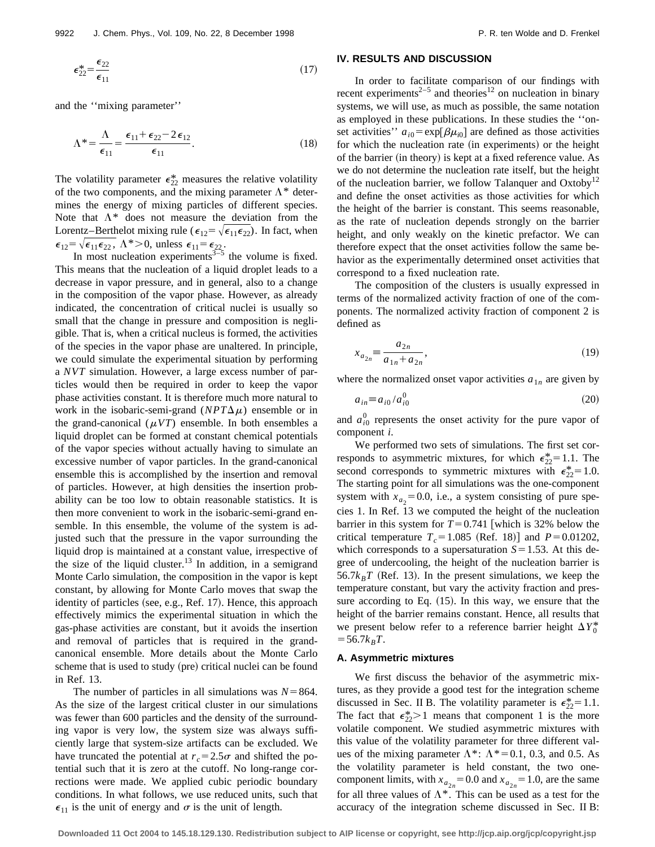$$
\epsilon_{22}^* = \frac{\epsilon_{22}}{\epsilon_{11}}\tag{17}
$$

and the ''mixing parameter''

$$
\Lambda^* = \frac{\Lambda}{\epsilon_{11}} = \frac{\epsilon_{11} + \epsilon_{22} - 2\epsilon_{12}}{\epsilon_{11}}.
$$
\n(18)

The volatility parameter  $\epsilon_{22}^*$  measures the relative volatility of the two components, and the mixing parameter  $\Lambda^*$  determines the energy of mixing particles of different species. Note that  $\Lambda^*$  does not measure the deviation from the Lorentz–Berthelot mixing rule ( $\epsilon_{12} = \sqrt{\epsilon_{11} \epsilon_{22}}$ ). In fact, when  $\epsilon_{12} = \sqrt{\epsilon_{11} \epsilon_{22}}$ ,  $\Lambda^* > 0$ , unless  $\epsilon_{11} = \epsilon_{22}$ .

In most nucleation experiments $3-5$  the volume is fixed. This means that the nucleation of a liquid droplet leads to a decrease in vapor pressure, and in general, also to a change in the composition of the vapor phase. However, as already indicated, the concentration of critical nuclei is usually so small that the change in pressure and composition is negligible. That is, when a critical nucleus is formed, the activities of the species in the vapor phase are unaltered. In principle, we could simulate the experimental situation by performing a *NVT* simulation. However, a large excess number of particles would then be required in order to keep the vapor phase activities constant. It is therefore much more natural to work in the isobaric-semi-grand  $(NPT\Delta\mu)$  ensemble or in the grand-canonical  $(\mu VT)$  ensemble. In both ensembles a liquid droplet can be formed at constant chemical potentials of the vapor species without actually having to simulate an excessive number of vapor particles. In the grand-canonical ensemble this is accomplished by the insertion and removal of particles. However, at high densities the insertion probability can be too low to obtain reasonable statistics. It is then more convenient to work in the isobaric-semi-grand ensemble. In this ensemble, the volume of the system is adjusted such that the pressure in the vapor surrounding the liquid drop is maintained at a constant value, irrespective of the size of the liquid cluster.<sup>13</sup> In addition, in a semigrand Monte Carlo simulation, the composition in the vapor is kept constant, by allowing for Monte Carlo moves that swap the identity of particles (see, e.g., Ref. 17). Hence, this approach effectively mimics the experimental situation in which the gas-phase activities are constant, but it avoids the insertion and removal of particles that is required in the grandcanonical ensemble. More details about the Monte Carlo scheme that is used to study (pre) critical nuclei can be found in Ref. 13.

The number of particles in all simulations was  $N=864$ . As the size of the largest critical cluster in our simulations was fewer than 600 particles and the density of the surrounding vapor is very low, the system size was always sufficiently large that system-size artifacts can be excluded. We have truncated the potential at  $r_c = 2.5\sigma$  and shifted the potential such that it is zero at the cutoff. No long-range corrections were made. We applied cubic periodic boundary conditions. In what follows, we use reduced units, such that  $\epsilon_{11}$  is the unit of energy and  $\sigma$  is the unit of length.

## **IV. RESULTS AND DISCUSSION**

In order to facilitate comparison of our findings with recent experiments<sup>2–5</sup> and theories<sup>12</sup> on nucleation in binary systems, we will use, as much as possible, the same notation as employed in these publications. In these studies the ''onset activities''  $a_{i0}$ = exp[ $\beta \mu_{i0}$ ] are defined as those activities for which the nucleation rate (in experiments) or the height of the barrier (in theory) is kept at a fixed reference value. As we do not determine the nucleation rate itself, but the height of the nucleation barrier, we follow Talanquer and Oxtoby<sup>12</sup> and define the onset activities as those activities for which the height of the barrier is constant. This seems reasonable, as the rate of nucleation depends strongly on the barrier height, and only weakly on the kinetic prefactor. We can therefore expect that the onset activities follow the same behavior as the experimentally determined onset activities that correspond to a fixed nucleation rate.

The composition of the clusters is usually expressed in terms of the normalized activity fraction of one of the components. The normalized activity fraction of component 2 is defined as

$$
x_{a_{2n}} \equiv \frac{a_{2n}}{a_{1n} + a_{2n}},\tag{19}
$$

where the normalized onset vapor activities  $a_{1n}$  are given by

$$
a_{in} \equiv a_{i0}/a_{i0}^0 \tag{20}
$$

and  $a_{i0}^0$  represents the onset activity for the pure vapor of component *i*.

We performed two sets of simulations. The first set corresponds to asymmetric mixtures, for which  $\epsilon_{22}^* = 1.1$ . The second corresponds to symmetric mixtures with  $\epsilon_{22}^* = 1.0$ . The starting point for all simulations was the one-component system with  $x_{a_2} = 0.0$ , i.e., a system consisting of pure species 1. In Ref. 13 we computed the height of the nucleation barrier in this system for  $T=0.741$  [which is 32% below the critical temperature  $T_c = 1.085$  (Ref. 18)] and  $P = 0.01202$ , which corresponds to a supersaturation  $S=1.53$ . At this degree of undercooling, the height of the nucleation barrier is  $56.7k_BT$  (Ref. 13). In the present simulations, we keep the temperature constant, but vary the activity fraction and pressure according to Eq.  $(15)$ . In this way, we ensure that the height of the barrier remains constant. Hence, all results that we present below refer to a reference barrier height  $\Delta Y_0^*$  $=$  56.7 $k_BT$ .

# **A. Asymmetric mixtures**

We first discuss the behavior of the asymmetric mixtures, as they provide a good test for the integration scheme discussed in Sec. II B. The volatility parameter is  $\epsilon_{22}^* = 1.1$ . The fact that  $\epsilon_{22}^* > 1$  means that component 1 is the more volatile component. We studied asymmetric mixtures with this value of the volatility parameter for three different values of the mixing parameter  $\Lambda^*$ :  $\Lambda^*=0.1$ , 0.3, and 0.5. As the volatility parameter is held constant, the two onecomponent limits, with  $x_{a_{2n}} = 0.0$  and  $x_{a_{2n}} = 1.0$ , are the same for all three values of  $\Lambda^*$ . This can be used as a test for the accuracy of the integration scheme discussed in Sec. II B: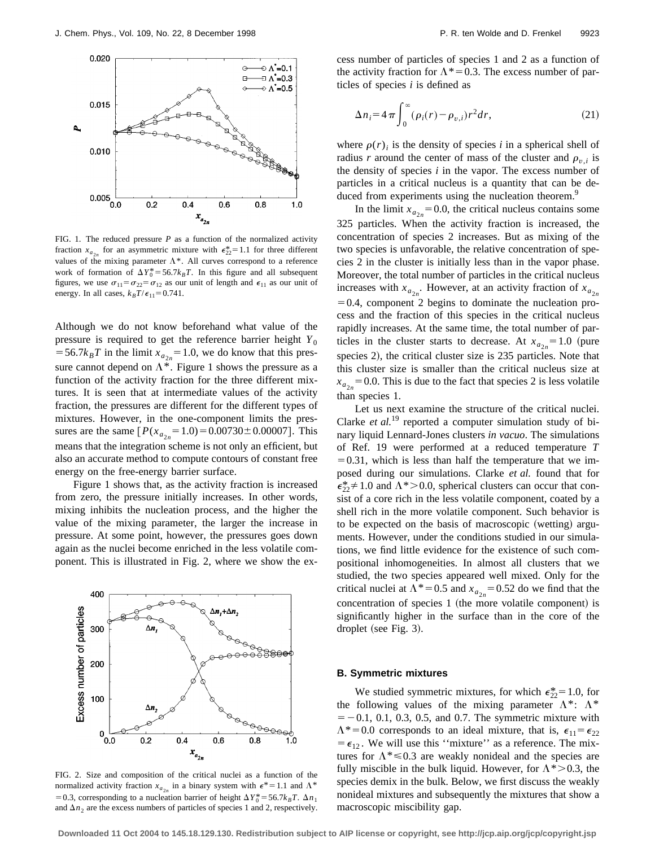

FIG. 1. The reduced pressure  $P$  as a function of the normalized activity fraction  $x_{a_{2n}}$  for an asymmetric mixture with  $\epsilon_{22}^* = 1.1$  for three different values of the mixing parameter  $\Lambda^*$ . All curves correspond to a reference work of formation of  $\Delta Y_0^* = 56.7 k_B T$ . In this figure and all subsequent figures, we use  $\sigma_{11} = \sigma_{22} = \sigma_{12}$  as our unit of length and  $\epsilon_{11}$  as our unit of energy. In all cases,  $k_B T/\epsilon_{11} = 0.741$ .

Although we do not know beforehand what value of the pressure is required to get the reference barrier height  $Y_0$  $=$  56.7 $k_B T$  in the limit  $x_{a_{2n}}$  = 1.0, we do know that this pressure cannot depend on  $\Lambda^*$ . Figure 1 shows the pressure as a function of the activity fraction for the three different mixtures. It is seen that at intermediate values of the activity fraction, the pressures are different for the different types of mixtures. However, in the one-component limits the pressures are the same  $[P(x_{a_{2n}}=1.0)=0.00730\pm0.00007]$ . This means that the integration scheme is not only an efficient, but also an accurate method to compute contours of constant free energy on the free-energy barrier surface.

Figure 1 shows that, as the activity fraction is increased from zero, the pressure initially increases. In other words, mixing inhibits the nucleation process, and the higher the value of the mixing parameter, the larger the increase in pressure. At some point, however, the pressures goes down again as the nuclei become enriched in the less volatile component. This is illustrated in Fig. 2, where we show the ex-



FIG. 2. Size and composition of the critical nuclei as a function of the normalized activity fraction  $x_{a_{2n}}$  in a binary system with  $\epsilon^* = 1.1$  and  $\Lambda^*$ = 0.3, corresponding to a nucleation barrier of height  $\Delta Y_0^* = 56.7 k_B T$ .  $\Delta n_1$ and  $\Delta n_2$  are the excess numbers of particles of species 1 and 2, respectively.

cess number of particles of species 1 and 2 as a function of the activity fraction for  $\Lambda^*=0.3$ . The excess number of particles of species *i* is defined as

$$
\Delta n_i = 4\pi \int_0^\infty (\rho_i(r) - \rho_{v,i}) r^2 dr,\tag{21}
$$

where  $\rho(r)$  is the density of species *i* in a spherical shell of radius *r* around the center of mass of the cluster and  $\rho_{v,i}$  is the density of species *i* in the vapor. The excess number of particles in a critical nucleus is a quantity that can be deduced from experiments using the nucleation theorem.<sup>9</sup>

In the limit  $x_{a_{2n}} = 0.0$ , the critical nucleus contains some 325 particles. When the activity fraction is increased, the concentration of species 2 increases. But as mixing of the two species is unfavorable, the relative concentration of species 2 in the cluster is initially less than in the vapor phase. Moreover, the total number of particles in the critical nucleus increases with  $x_{a_{2n}}$ . However, at an activity fraction of  $x_{a_{2n}}$  $=0.4$ , component 2 begins to dominate the nucleation process and the fraction of this species in the critical nucleus rapidly increases. At the same time, the total number of particles in the cluster starts to decrease. At  $x_{a_{2n}} = 1.0$  (pure species 2), the critical cluster size is 235 particles. Note that this cluster size is smaller than the critical nucleus size at  $x_{a_{2n}}$  = 0.0. This is due to the fact that species 2 is less volatile than species 1.

Let us next examine the structure of the critical nuclei. Clarke *et al.*<sup>19</sup> reported a computer simulation study of binary liquid Lennard-Jones clusters *in vacuo*. The simulations of Ref. 19 were performed at a reduced temperature *T*  $=0.31$ , which is less than half the temperature that we imposed during our simulations. Clarke *et al.* found that for  $\epsilon_{22}^* \neq 1.0$  and  $\Lambda^* > 0.0$ , spherical clusters can occur that consist of a core rich in the less volatile component, coated by a shell rich in the more volatile component. Such behavior is to be expected on the basis of macroscopic (wetting) arguments. However, under the conditions studied in our simulations, we find little evidence for the existence of such compositional inhomogeneities. In almost all clusters that we studied, the two species appeared well mixed. Only for the critical nuclei at  $\Lambda^*$  = 0.5 and  $x_{a_{2n}}$  = 0.52 do we find that the concentration of species 1 (the more volatile component) is significantly higher in the surface than in the core of the droplet (see Fig.  $3$ ).

#### **B. Symmetric mixtures**

We studied symmetric mixtures, for which  $\epsilon_{22}^{*} = 1.0$ , for the following values of the mixing parameter  $\Lambda^*$ :  $\Lambda^*$  $=$  -0.1, 0.1, 0.3, 0.5, and 0.7. The symmetric mixture with  $\Lambda^*=0.0$  corresponds to an ideal mixture, that is,  $\epsilon_{11}=\epsilon_{22}$  $= \epsilon_{12}$ . We will use this "mixture" as a reference. The mixtures for  $\Lambda^* \le 0.3$  are weakly nonideal and the species are fully miscible in the bulk liquid. However, for  $\Lambda^*$  > 0.3, the species demix in the bulk. Below, we first discuss the weakly nonideal mixtures and subsequently the mixtures that show a macroscopic miscibility gap.

**Downloaded 11 Oct 2004 to 145.18.129.130. Redistribution subject to AIP license or copyright, see http://jcp.aip.org/jcp/copyright.jsp**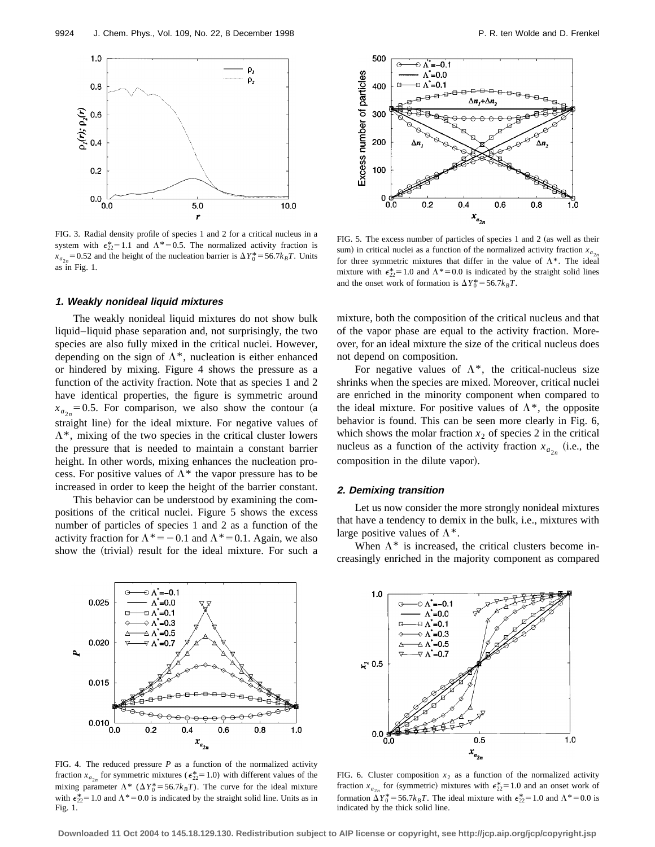

FIG. 3. Radial density profile of species 1 and 2 for a critical nucleus in a system with  $\epsilon_{22}^* = 1.1$  and  $\Lambda^* = 0.5$ . The normalized activity fraction is  $x_{a_{2n}} = 0.52$  and the height of the nucleation barrier is  $\Delta Y_0^* = 56.7 k_B T$ . Units as in Fig. 1.

# **1. Weakly nonideal liquid mixtures**

The weakly nonideal liquid mixtures do not show bulk liquid–liquid phase separation and, not surprisingly, the two species are also fully mixed in the critical nuclei. However, depending on the sign of  $\Lambda^*$ , nucleation is either enhanced or hindered by mixing. Figure 4 shows the pressure as a function of the activity fraction. Note that as species 1 and 2 have identical properties, the figure is symmetric around  $x_{a_{2n}} = 0.5$ . For comparison, we also show the contour (a straight line) for the ideal mixture. For negative values of  $\Lambda^*$ , mixing of the two species in the critical cluster lowers the pressure that is needed to maintain a constant barrier height. In other words, mixing enhances the nucleation process. For positive values of  $\Lambda^*$  the vapor pressure has to be increased in order to keep the height of the barrier constant.

This behavior can be understood by examining the compositions of the critical nuclei. Figure 5 shows the excess number of particles of species 1 and 2 as a function of the activity fraction for  $\Lambda^* = -0.1$  and  $\Lambda^* = 0.1$ . Again, we also show the (trivial) result for the ideal mixture. For such a



FIG. 5. The excess number of particles of species 1 and 2 (as well as their sum) in critical nuclei as a function of the normalized activity fraction  $x_{a_{2n}}$ for three symmetric mixtures that differ in the value of  $\Lambda^*$ . The ideal mixture with  $\epsilon_{22}^* = 1.0$  and  $\Lambda^* = 0.0$  is indicated by the straight solid lines and the onset work of formation is  $\Delta Y_0^* = 56.7 k_B T$ .

mixture, both the composition of the critical nucleus and that of the vapor phase are equal to the activity fraction. Moreover, for an ideal mixture the size of the critical nucleus does not depend on composition.

For negative values of  $\Lambda^*$ , the critical-nucleus size shrinks when the species are mixed. Moreover, critical nuclei are enriched in the minority component when compared to the ideal mixture. For positive values of  $\Lambda^*$ , the opposite behavior is found. This can be seen more clearly in Fig. 6, which shows the molar fraction  $x_2$  of species 2 in the critical nucleus as a function of the activity fraction  $x_{a_{2n}}$  (i.e., the composition in the dilute vapor).

# **2. Demixing transition**

Let us now consider the more strongly nonideal mixtures that have a tendency to demix in the bulk, i.e., mixtures with large positive values of  $\Lambda^*$ .

When  $\Lambda^*$  is increased, the critical clusters become increasingly enriched in the majority component as compared



FIG. 4. The reduced pressure *P* as a function of the normalized activity fraction  $x_{a_{2n}}$  for symmetric mixtures ( $\epsilon_{22}^* = 1.0$ ) with different values of the mixing parameter  $\Lambda^*$  ( $\Delta Y_0^*$ =56.7*k*<sub>B</sub>T). The curve for the ideal mixture with  $\epsilon_{22}^* = 1.0$  and  $\Lambda^* = 0.0$  is indicated by the straight solid line. Units as in Fig. 1.



FIG. 6. Cluster composition  $x_2$  as a function of the normalized activity fraction  $x_{a_{2n}}$  for (symmetric) mixtures with  $\epsilon_{22}^* = 1.0$  and an onset work of formation  $\Delta Y_0^* = 56.7 k_B T$ . The ideal mixture with  $\epsilon_{22}^* = 1.0$  and  $\Lambda^* = 0.0$  is indicated by the thick solid line.

**Downloaded 11 Oct 2004 to 145.18.129.130. Redistribution subject to AIP license or copyright, see http://jcp.aip.org/jcp/copyright.jsp**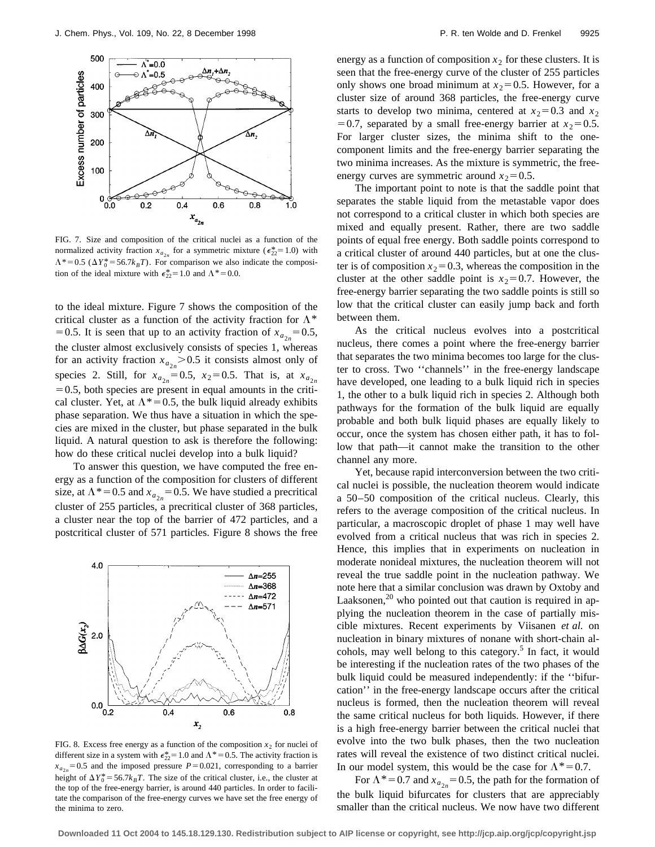

FIG. 7. Size and composition of the critical nuclei as a function of the normalized activity fraction  $x_{a_{2n}}$  for a symmetric mixture ( $\epsilon_{22}^*$ = 1.0) with  $\Lambda^*$  = 0.5 ( $\Delta Y_0^*$  = 56.7*k<sub>B</sub>T*). For comparison we also indicate the composition of the ideal mixture with  $\epsilon_{22}^* = 1.0$  and  $\Lambda^* = 0.0$ .

to the ideal mixture. Figure 7 shows the composition of the critical cluster as a function of the activity fraction for  $\Lambda^*$ = 0.5. It is seen that up to an activity fraction of  $x_{a_{2n}} = 0.5$ , the cluster almost exclusively consists of species 1, whereas for an activity fraction  $x_{a_{2n}} > 0.5$  it consists almost only of species 2. Still, for  $x_{a_{2n}} = 0.5$ ,  $x_2 = 0.5$ . That is, at  $x_{a_{2n}}$  $=0.5$ , both species are present in equal amounts in the critical cluster. Yet, at  $\Lambda^*=0.5$ , the bulk liquid already exhibits phase separation. We thus have a situation in which the species are mixed in the cluster, but phase separated in the bulk liquid. A natural question to ask is therefore the following: how do these critical nuclei develop into a bulk liquid?

To answer this question, we have computed the free energy as a function of the composition for clusters of different size, at  $\Lambda^*=0.5$  and  $x_{a_{2n}}=0.5$ . We have studied a precritical cluster of 255 particles, a precritical cluster of 368 particles, a cluster near the top of the barrier of 472 particles, and a postcritical cluster of 571 particles. Figure 8 shows the free



FIG. 8. Excess free energy as a function of the composition  $x_2$  for nuclei of different size in a system with  $\epsilon_{22}^* = 1.0$  and  $\Lambda^* = 0.5$ . The activity fraction is  $x_{a_{2n}} = 0.5$  and the imposed pressure  $P = 0.021$ , corresponding to a barrier height of  $\Delta Y_0^* = 56.7 k_B T$ . The size of the critical cluster, i.e., the cluster at the top of the free-energy barrier, is around 440 particles. In order to facilitate the comparison of the free-energy curves we have set the free energy of the minima to zero.

energy as a function of composition  $x<sub>2</sub>$  for these clusters. It is seen that the free-energy curve of the cluster of 255 particles only shows one broad minimum at  $x_2=0.5$ . However, for a cluster size of around 368 particles, the free-energy curve starts to develop two minima, centered at  $x_2=0.3$  and  $x_2$ = 0.7, separated by a small free-energy barrier at  $x_2$ = 0.5. For larger cluster sizes, the minima shift to the onecomponent limits and the free-energy barrier separating the two minima increases. As the mixture is symmetric, the freeenergy curves are symmetric around  $x_2=0.5$ .

The important point to note is that the saddle point that separates the stable liquid from the metastable vapor does not correspond to a critical cluster in which both species are mixed and equally present. Rather, there are two saddle points of equal free energy. Both saddle points correspond to a critical cluster of around 440 particles, but at one the cluster is of composition  $x_2=0.3$ , whereas the composition in the cluster at the other saddle point is  $x_2=0.7$ . However, the free-energy barrier separating the two saddle points is still so low that the critical cluster can easily jump back and forth between them.

As the critical nucleus evolves into a postcritical nucleus, there comes a point where the free-energy barrier that separates the two minima becomes too large for the cluster to cross. Two ''channels'' in the free-energy landscape have developed, one leading to a bulk liquid rich in species 1, the other to a bulk liquid rich in species 2. Although both pathways for the formation of the bulk liquid are equally probable and both bulk liquid phases are equally likely to occur, once the system has chosen either path, it has to follow that path—it cannot make the transition to the other channel any more.

Yet, because rapid interconversion between the two critical nuclei is possible, the nucleation theorem would indicate a 50–50 composition of the critical nucleus. Clearly, this refers to the average composition of the critical nucleus. In particular, a macroscopic droplet of phase 1 may well have evolved from a critical nucleus that was rich in species 2. Hence, this implies that in experiments on nucleation in moderate nonideal mixtures, the nucleation theorem will not reveal the true saddle point in the nucleation pathway. We note here that a similar conclusion was drawn by Oxtoby and Laaksonen, $^{20}$  who pointed out that caution is required in applying the nucleation theorem in the case of partially miscible mixtures. Recent experiments by Viisanen *et al.* on nucleation in binary mixtures of nonane with short-chain alcohols, may well belong to this category.<sup>5</sup> In fact, it would be interesting if the nucleation rates of the two phases of the bulk liquid could be measured independently: if the ''bifurcation'' in the free-energy landscape occurs after the critical nucleus is formed, then the nucleation theorem will reveal the same critical nucleus for both liquids. However, if there is a high free-energy barrier between the critical nuclei that evolve into the two bulk phases, then the two nucleation rates will reveal the existence of two distinct critical nuclei. In our model system, this would be the case for  $\Lambda^*=0.7$ .

For  $\Lambda^*=0.7$  and  $x_{a_{2n}}=0.5$ , the path for the formation of the bulk liquid bifurcates for clusters that are appreciably smaller than the critical nucleus. We now have two different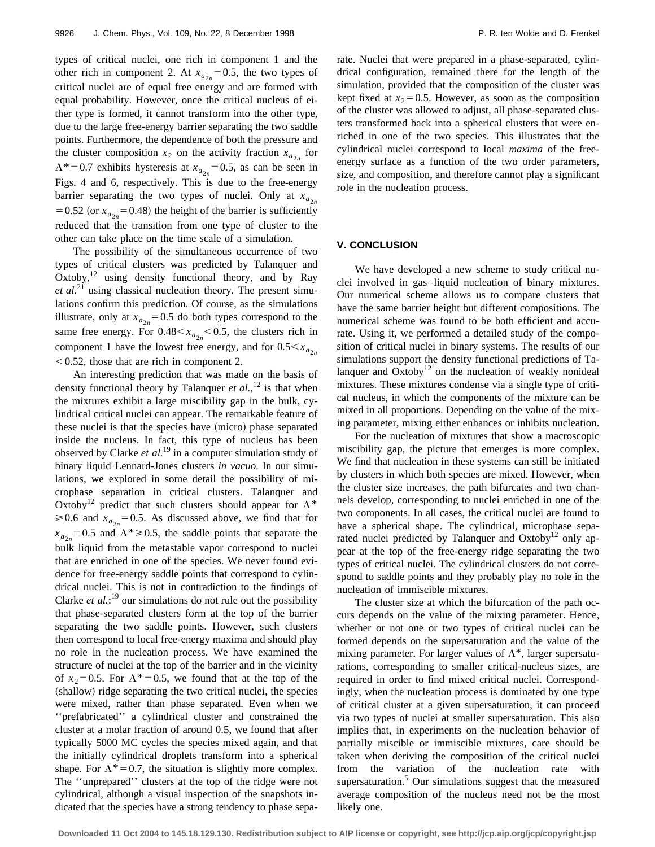types of critical nuclei, one rich in component 1 and the other rich in component 2. At  $x_{a_{2n}} = 0.5$ , the two types of critical nuclei are of equal free energy and are formed with equal probability. However, once the critical nucleus of either type is formed, it cannot transform into the other type, due to the large free-energy barrier separating the two saddle points. Furthermore, the dependence of both the pressure and the cluster composition  $x_2$  on the activity fraction  $x_{a_2}$  for  $\Lambda^*=0.7$  exhibits hysteresis at  $x_{a_{2n}}=0.5$ , as can be seen in Figs. 4 and 6, respectively. This is due to the free-energy barrier separating the two types of nuclei. Only at  $x_{a_{2n}}$ = 0.52 (or  $x_{a_{2n}}$ = 0.48) the height of the barrier is sufficiently reduced that the transition from one type of cluster to the other can take place on the time scale of a simulation.

The possibility of the simultaneous occurrence of two types of critical clusters was predicted by Talanquer and Oxtoby,<sup>12</sup> using density functional theory, and by Ray et al.<sup>21</sup> using classical nucleation theory. The present simulations confirm this prediction. Of course, as the simulations illustrate, only at  $x_{a_{2n}} = 0.5$  do both types correspond to the same free energy. For  $0.48 \le x_{a_{2n}} \le 0.5$ , the clusters rich in component 1 have the lowest free energy, and for  $0.5 < x_{a_{2n}}$  $< 0.52$ , those that are rich in component 2.

An interesting prediction that was made on the basis of density functional theory by Talanquer  $et$   $al$ ,  $l<sup>2</sup>$  is that when the mixtures exhibit a large miscibility gap in the bulk, cylindrical critical nuclei can appear. The remarkable feature of these nuclei is that the species have (micro) phase separated inside the nucleus. In fact, this type of nucleus has been observed by Clarke *et al.*<sup>19</sup> in a computer simulation study of binary liquid Lennard-Jones clusters *in vacuo*. In our simulations, we explored in some detail the possibility of microphase separation in critical clusters. Talanquer and Oxtoby<sup>12</sup> predict that such clusters should appear for  $\Lambda^*$  $\geq 0.6$  and  $x_{a_{2n}} = 0.5$ . As discussed above, we find that for  $x_{a_{2n}} = 0.5$  and  $\Lambda^* \ge 0.5$ , the saddle points that separate the bulk liquid from the metastable vapor correspond to nuclei that are enriched in one of the species. We never found evidence for free-energy saddle points that correspond to cylindrical nuclei. This is not in contradiction to the findings of Clarke *et al.*:<sup>19</sup> our simulations do not rule out the possibility that phase-separated clusters form at the top of the barrier separating the two saddle points. However, such clusters then correspond to local free-energy maxima and should play no role in the nucleation process. We have examined the structure of nuclei at the top of the barrier and in the vicinity of  $x_2=0.5$ . For  $\Lambda^*=0.5$ , we found that at the top of the (shallow) ridge separating the two critical nuclei, the species were mixed, rather than phase separated. Even when we ''prefabricated'' a cylindrical cluster and constrained the cluster at a molar fraction of around 0.5, we found that after typically 5000 MC cycles the species mixed again, and that the initially cylindrical droplets transform into a spherical shape. For  $\Lambda^*=0.7$ , the situation is slightly more complex. The ''unprepared'' clusters at the top of the ridge were not cylindrical, although a visual inspection of the snapshots indicated that the species have a strong tendency to phase separate. Nuclei that were prepared in a phase-separated, cylindrical configuration, remained there for the length of the simulation, provided that the composition of the cluster was kept fixed at  $x_2=0.5$ . However, as soon as the composition of the cluster was allowed to adjust, all phase-separated clusters transformed back into a spherical clusters that were enriched in one of the two species. This illustrates that the cylindrical nuclei correspond to local *maxima* of the freeenergy surface as a function of the two order parameters, size, and composition, and therefore cannot play a significant role in the nucleation process.

# **V. CONCLUSION**

We have developed a new scheme to study critical nuclei involved in gas–liquid nucleation of binary mixtures. Our numerical scheme allows us to compare clusters that have the same barrier height but different compositions. The numerical scheme was found to be both efficient and accurate. Using it, we performed a detailed study of the composition of critical nuclei in binary systems. The results of our simulations support the density functional predictions of Talanguer and  $Oxtoby<sup>12</sup>$  on the nucleation of weakly nonideal mixtures. These mixtures condense via a single type of critical nucleus, in which the components of the mixture can be mixed in all proportions. Depending on the value of the mixing parameter, mixing either enhances or inhibits nucleation.

For the nucleation of mixtures that show a macroscopic miscibility gap, the picture that emerges is more complex. We find that nucleation in these systems can still be initiated by clusters in which both species are mixed. However, when the cluster size increases, the path bifurcates and two channels develop, corresponding to nuclei enriched in one of the two components. In all cases, the critical nuclei are found to have a spherical shape. The cylindrical, microphase separated nuclei predicted by Talanquer and Oxtoby<sup>12</sup> only appear at the top of the free-energy ridge separating the two types of critical nuclei. The cylindrical clusters do not correspond to saddle points and they probably play no role in the nucleation of immiscible mixtures.

The cluster size at which the bifurcation of the path occurs depends on the value of the mixing parameter. Hence, whether or not one or two types of critical nuclei can be formed depends on the supersaturation and the value of the mixing parameter. For larger values of  $\Lambda^*$ , larger supersaturations, corresponding to smaller critical-nucleus sizes, are required in order to find mixed critical nuclei. Correspondingly, when the nucleation process is dominated by one type of critical cluster at a given supersaturation, it can proceed via two types of nuclei at smaller supersaturation. This also implies that, in experiments on the nucleation behavior of partially miscible or immiscible mixtures, care should be taken when deriving the composition of the critical nuclei from the variation of the nucleation rate with supersaturation. $5$  Our simulations suggest that the measured average composition of the nucleus need not be the most likely one.